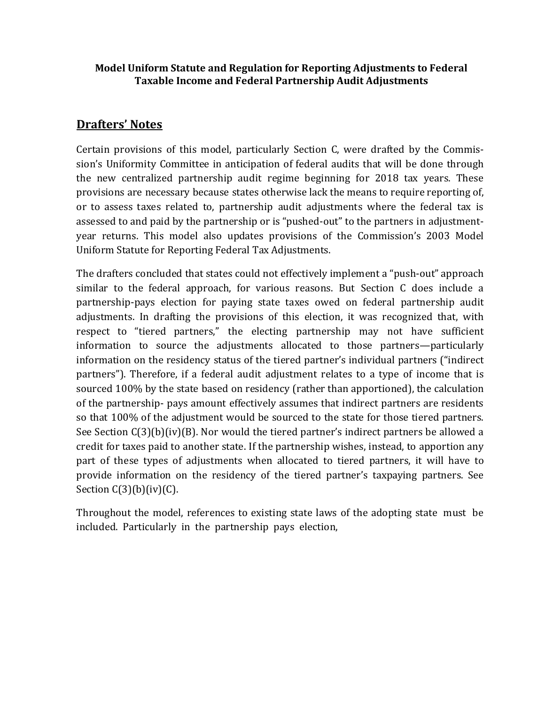### **Model Uniform Statute and Regulation for Reporting Adjustments to Federal Taxable Income and Federal Partnership Audit Adjustments**

# **Drafters' Notes**

Certain provisions of this model, particularly Section C, were drafted by the Commission's Uniformity Committee in anticipation of federal audits that will be done through the new centralized partnership audit regime beginning for 2018 tax years. These provisions are necessary because states otherwise lack the means to require reporting of, or to assess taxes related to, partnership audit adjustments where the federal tax is assessed to and paid by the partnership or is "pushed-out" to the partners in adjustmentyear returns. This model also updates provisions of the Commission's 2003 Model Uniform Statute for Reporting Federal Tax Adjustments.

The drafters concluded that states could not effectively implement a "push-out" approach similar to the federal approach, for various reasons. But Section C does include a partnership-pays election for paying state taxes owed on federal partnership audit adjustments. In drafting the provisions of this election, it was recognized that, with respect to "tiered partners," the electing partnership may not have sufficient information to source the adjustments allocated to those partners—particularly information on the residency status of the tiered partner's individual partners ("indirect partners"). Therefore, if a federal audit adjustment relates to a type of income that is sourced 100% by the state based on residency (rather than apportioned), the calculation of the partnership- pays amount effectively assumes that indirect partners are residents so that 100% of the adjustment would be sourced to the state for those tiered partners. See Section C(3)(b)(iv)(B). Nor would the tiered partner's indirect partners be allowed a credit for taxes paid to another state. If the partnership wishes, instead, to apportion any part of these types of adjustments when allocated to tiered partners, it will have to provide information on the residency of the tiered partner's taxpaying partners. See Section  $C(3)(b)(iv)(C)$ .

Throughout the model, references to existing state laws of the adopting state must be included. Particularly in the partnership pays election,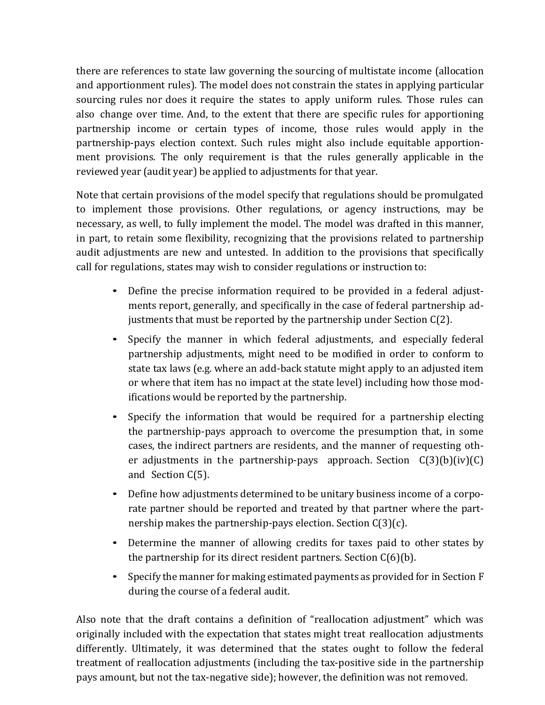there are references to state law governing the sourcing of multistate income (allocation and apportionment rules). The model does not constrain the states in applying particular sourcing rules nor does it require the states to apply uniform rules. Those rules can also change over time. And, to the extent that there are specific rules for apportioning partnership income or certain types of income, those rules would apply in the partnership-pays election context. Such rules might also include equitable apportionment provisions. The only requirement is that the rules generally applicable in the reviewed year (audit year) be applied to adjustments for that year.

Note that certain provisions of the model specify that regulations should be promulgated to implement those provisions. Other regulations, or agency instructions, may be necessary, as well, to fully implement the model. The model was drafted in this manner, in part, to retain some flexibility, recognizing that the provisions related to partnership audit adjustments are new and untested. In addition to the provisions that specifically call for regulations, states may wish to consider regulations or instruction to:

- Define the precise information required to be provided in a federal adjustments report, generally, and specifically in the case of federal partnership adjustments that must be reported by the partnership under Section C(2).
- Specify the manner in which federal adjustments, and especially federal partnership adjustments, might need to be modified in order to conform to state tax laws (e.g. where an add-back statute might apply to an adjusted item or where that item has no impact at the state level) including how those modifications would be reported by the partnership.
- Specify the information that would be required for a partnership electing the partnership-pays approach to overcome the presumption that, in some cases, the indirect partners are residents, and the manner of requesting other adjustments in the partnership-pays approach. Section  $C(3)(b)(iv)(C)$ and Section C(5).
- Define how adjustments determined to be unitary business income of a corporate partner should be reported and treated by that partner where the partnership makes the partnership-pays election. Section C(3)(c).
- Determine the manner of allowing credits for taxes paid to other states by the partnership for its direct resident partners. Section C(6)(b).
- Specify the manner for making estimated payments as provided for in Section F during the course of a federal audit.

Also note that the draft contains a definition of "reallocation adjustment" which was originally included with the expectation that states might treat reallocation adjustments differently. Ultimately, it was determined that the states ought to follow the federal treatment of reallocation adjustments (including the tax-positive side in the partnership pays amount, but not the tax-negative side); however, the definition was not removed.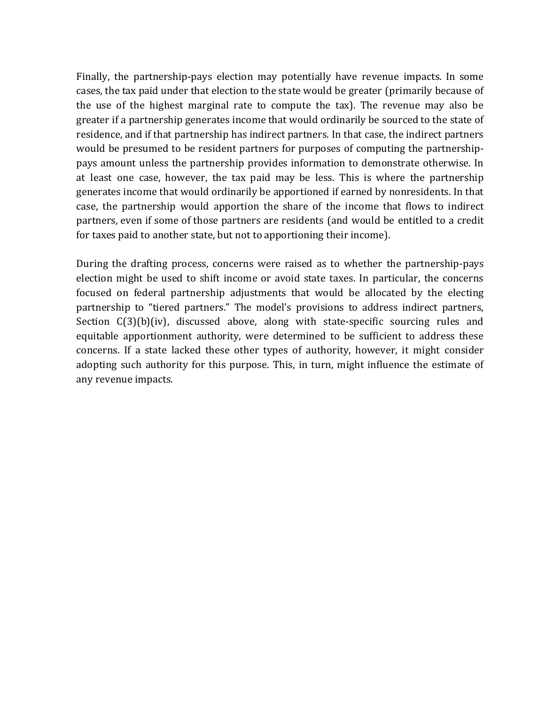Finally, the partnership-pays election may potentially have revenue impacts. In some cases, the tax paid under that election to the state would be greater (primarily because of the use of the highest marginal rate to compute the tax). The revenue may also be greater if a partnership generates income that would ordinarily be sourced to the state of residence, and if that partnership has indirect partners. In that case, the indirect partners would be presumed to be resident partners for purposes of computing the partnershippays amount unless the partnership provides information to demonstrate otherwise. In at least one case, however, the tax paid may be less. This is where the partnership generates income that would ordinarily be apportioned if earned by nonresidents. In that case, the partnership would apportion the share of the income that flows to indirect partners, even if some of those partners are residents (and would be entitled to a credit for taxes paid to another state, but not to apportioning their income).

During the drafting process, concerns were raised as to whether the partnership-pays election might be used to shift income or avoid state taxes. In particular, the concerns focused on federal partnership adjustments that would be allocated by the electing partnership to "tiered partners." The model's provisions to address indirect partners, Section C(3)(b)(iv), discussed above, along with state-specific sourcing rules and equitable apportionment authority, were determined to be sufficient to address these concerns. If a state lacked these other types of authority, however, it might consider adopting such authority for this purpose. This, in turn, might influence the estimate of any revenue impacts.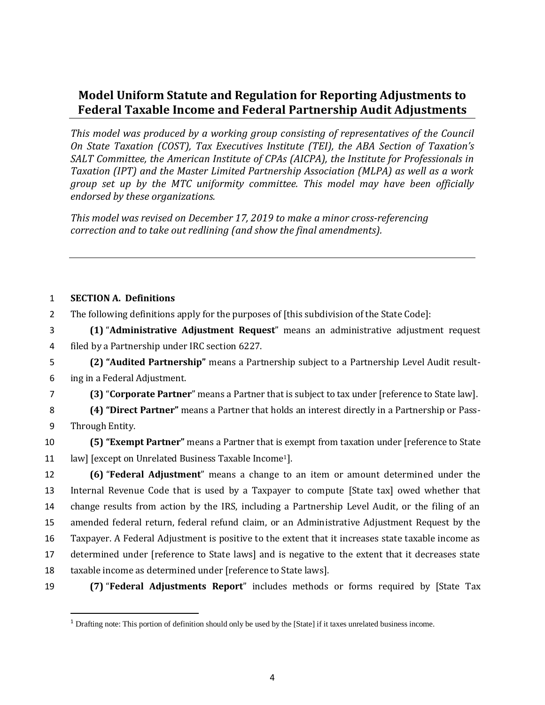# **Model Uniform Statute and Regulation for Reporting Adjustments to Federal Taxable Income and Federal Partnership Audit Adjustments**

*This model was produced by a working group consisting of representatives of the Council On State Taxation (COST), Tax Executives Institute (TEI), the ABA Section of Taxation's SALT Committee, the American Institute of CPAs (AICPA), the Institute for Professionals in Taxation (IPT) and the Master Limited Partnership Association (MLPA) as well as a work group set up by the MTC uniformity committee. This model may have been officially endorsed by these organizations.*

*This model was revised on December 17, 2019 to make a minor cross-referencing correction and to take out redlining (and show the final amendments).*

#### 1 **SECTION A. Definitions**

 $\overline{\phantom{a}}$ 

2 The following definitions apply for the purposes of [this subdivision of the State Code]:

3 **(1)** "**Administrative Adjustment Request**" means an administrative adjustment request 4 filed by a Partnership under IRC section 6227.

5 **(2) "Audited Partnership"** means a Partnership subject to a Partnership Level Audit result-6 ing in a Federal Adjustment.

7 **(3)** "**Corporate Partner**" means a Partner that is subject to tax under [reference to State law].

8 **(4) "Direct Partner"** means a Partner that holds an interest directly in a Partnership or Pass-9 Through Entity.

10 **(5) "Exempt Partner"** means a Partner that is exempt from taxation under [reference to State 11 law] [except on Unrelated Business Taxable Income<sup>1</sup>].

 **(6)** "**Federal Adjustment**" means a change to an item or amount determined under the Internal Revenue Code that is used by a Taxpayer to compute [State tax] owed whether that change results from action by the IRS, including a Partnership Level Audit, or the filing of an amended federal return, federal refund claim, or an Administrative Adjustment Request by the Taxpayer. A Federal Adjustment is positive to the extent that it increases state taxable income as determined under [reference to State laws] and is negative to the extent that it decreases state taxable income as determined under [reference to State laws].

19 **(7)** "**Federal Adjustments Report**" includes methods or forms required by [State Tax

 $<sup>1</sup>$  Drafting note: This portion of definition should only be used by the [State] if it taxes unrelated business income.</sup>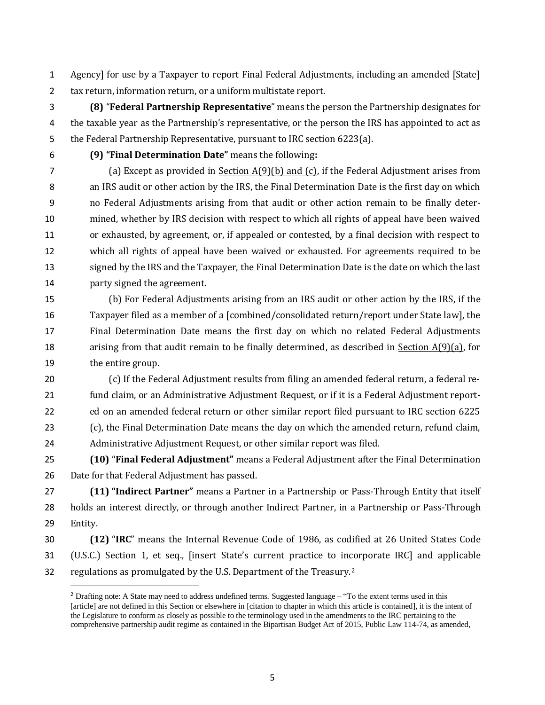Agency] for use by a Taxpayer to report Final Federal Adjustments, including an amended [State] tax return, information return, or a uniform multistate report.

 **(8)** "**Federal Partnership Representative**" means the person the Partnership designates for the taxable year as the Partnership's representative, or the person the IRS has appointed to act as the Federal Partnership Representative, pursuant to IRC section 6223(a).

 $\overline{a}$ 

**(9) "Final Determination Date"** means the following**:**

 (a) Except as provided in Section A(9)(b) and (c), if the Federal Adjustment arises from an IRS audit or other action by the IRS, the Final Determination Date is the first day on which no Federal Adjustments arising from that audit or other action remain to be finally deter- mined, whether by IRS decision with respect to which all rights of appeal have been waived or exhausted, by agreement, or, if appealed or contested, by a final decision with respect to which all rights of appeal have been waived or exhausted. For agreements required to be signed by the IRS and the Taxpayer, the Final Determination Date is the date on which the last party signed the agreement.

 (b) For Federal Adjustments arising from an IRS audit or other action by the IRS, if the Taxpayer filed as a member of a [combined/consolidated return/report under State law], the Final Determination Date means the first day on which no related Federal Adjustments 18 arising from that audit remain to be finally determined, as described in Section A(9)(a), for the entire group.

 (c) If the Federal Adjustment results from filing an amended federal return, a federal re- fund claim, or an Administrative Adjustment Request, or if it is a Federal Adjustment report- ed on an amended federal return or other similar report filed pursuant to IRC section 6225 (c), the Final Determination Date means the day on which the amended return, refund claim, Administrative Adjustment Request, or other similar report was filed.

 **(10)** "**Final Federal Adjustment"** means a Federal Adjustment after the Final Determination Date for that Federal Adjustment has passed.

 **(11) "Indirect Partner"** means a Partner in a Partnership or Pass-Through Entity that itself holds an interest directly, or through another Indirect Partner, in a Partnership or Pass-Through Entity.

 **(12)** "**IRC**" means the Internal Revenue Code of 1986, as codified at 26 United States Code (U.S.C.) Section 1, et seq., [insert State's current practice to incorporate IRC] and applicable 32 regulations as promulgated by the U.S. Department of the Treasury.<sup>2</sup>

<sup>&</sup>lt;sup>2</sup> Drafting note: A State may need to address undefined terms. Suggested language – "To the extent terms used in this [article] are not defined in this Section or elsewhere in [citation to chapter in which this article is contained], it is the intent of the Legislature to conform as closely as possible to the terminology used in the amendments to the IRC pertaining to the comprehensive partnership audit regime as contained in the Bipartisan Budget Act of 2015, Public Law 114-74, as amended,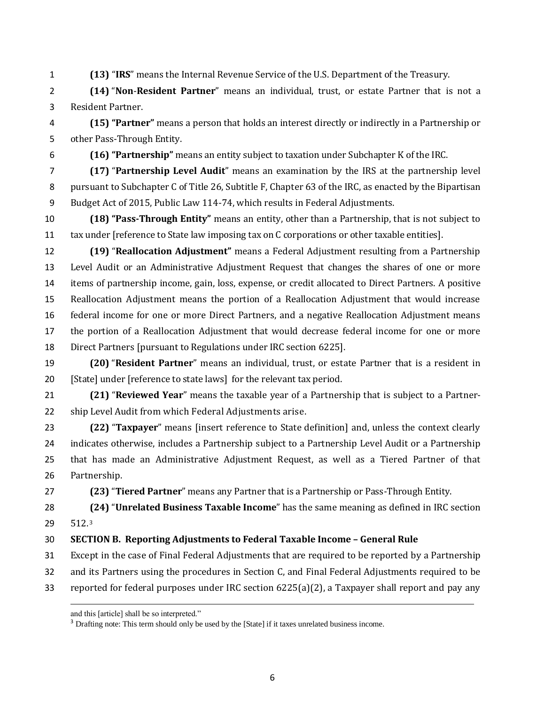**(13)** "**IRS**" means the Internal Revenue Service of the U.S. Department of the Treasury.

 **(14)** "**Non**-**Resident Partner**" means an individual, trust, or estate Partner that is not a Resident Partner.

 **(15) "Partner"** means a person that holds an interest directly or indirectly in a Partnership or other Pass-Through Entity.

**(16) "Partnership"** means an entity subject to taxation under Subchapter K of the IRC.

 **(17)** "**Partnership Level Audit**" means an examination by the IRS at the partnership level pursuant to Subchapter C of Title 26, Subtitle F, Chapter 63 of the IRC, as enacted by the Bipartisan Budget Act of 2015, Public Law 114-74, which results in Federal Adjustments.

 **(18) "Pass-Through Entity"** means an entity, other than a Partnership, that is not subject to 11 tax under [reference to State law imposing tax on C corporations or other taxable entities].

 **(19)** "**Reallocation Adjustment"** means a Federal Adjustment resulting from a Partnership Level Audit or an Administrative Adjustment Request that changes the shares of one or more items of partnership income, gain, loss, expense, or credit allocated to Direct Partners. A positive Reallocation Adjustment means the portion of a Reallocation Adjustment that would increase federal income for one or more Direct Partners, and a negative Reallocation Adjustment means the portion of a Reallocation Adjustment that would decrease federal income for one or more Direct Partners [pursuant to Regulations under IRC section 6225].

 **(20)** "**Resident Partner**" means an individual, trust, or estate Partner that is a resident in 20 [State] under [reference to state laws] for the relevant tax period.

 **(21)** "**Reviewed Year**" means the taxable year of a Partnership that is subject to a Partner-ship Level Audit from which Federal Adjustments arise.

 **(22)** "**Taxpayer**" means [insert reference to State definition] and, unless the context clearly indicates otherwise, includes a Partnership subject to a Partnership Level Audit or a Partnership that has made an Administrative Adjustment Request, as well as a Tiered Partner of that Partnership.

**(23)** "**Tiered Partner**" means any Partner that is a Partnership or Pass-Through Entity.

 **(24)** "**Unrelated Business Taxable Income**" has the same meaning as defined in IRC section 29 512.3

#### **SECTION B. Reporting Adjustments to Federal Taxable Income – General Rule**

Except in the case of Final Federal Adjustments that are required to be reported by a Partnership

and its Partners using the procedures in Section C, and Final Federal Adjustments required to be

reported for federal purposes under IRC section 6225(a)(2), a Taxpayer shall report and pay any

 $\overline{a}$ and this [article] shall be so interpreted."

<sup>&</sup>lt;sup>3</sup> Drafting note: This term should only be used by the [State] if it taxes unrelated business income.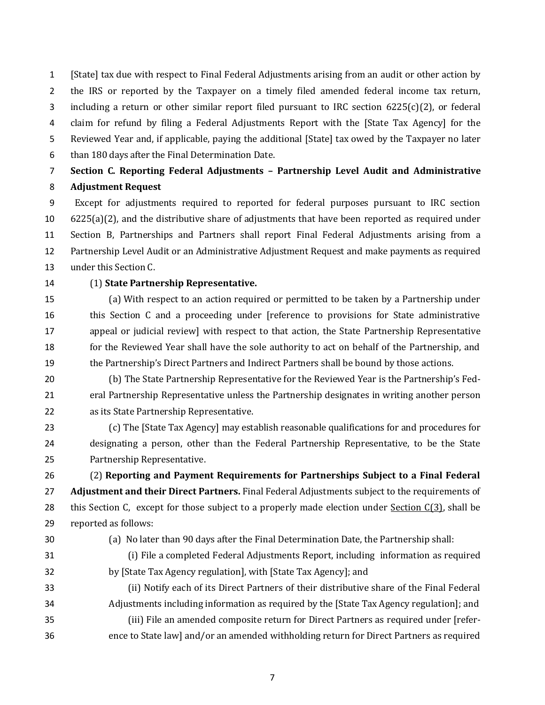[State] tax due with respect to Final Federal Adjustments arising from an audit or other action by the IRS or reported by the Taxpayer on a timely filed amended federal income tax return, 3 including a return or other similar report filed pursuant to IRC section  $6225(c)(2)$ , or federal claim for refund by filing a Federal Adjustments Report with the [State Tax Agency] for the Reviewed Year and, if applicable, paying the additional [State] tax owed by the Taxpayer no later than 180 days after the Final Determination Date.

## **Section C. Reporting Federal Adjustments – Partnership Level Audit and Administrative Adjustment Request**

 Except for adjustments required to reported for federal purposes pursuant to IRC section 6225(a)(2), and the distributive share of adjustments that have been reported as required under Section B, Partnerships and Partners shall report Final Federal Adjustments arising from a Partnership Level Audit or an Administrative Adjustment Request and make payments as required under this Section C.

### (1) **State Partnership Representative.**

 (a) With respect to an action required or permitted to be taken by a Partnership under this Section C and a proceeding under [reference to provisions for State administrative appeal or judicial review] with respect to that action, the State Partnership Representative for the Reviewed Year shall have the sole authority to act on behalf of the Partnership, and the Partnership's Direct Partners and Indirect Partners shall be bound by those actions.

 (b) The State Partnership Representative for the Reviewed Year is the Partnership's Fed- eral Partnership Representative unless the Partnership designates in writing another person as its State Partnership Representative.

 (c) The [State Tax Agency] may establish reasonable qualifications for and procedures for designating a person, other than the Federal Partnership Representative, to be the State Partnership Representative.

 (2) **Reporting and Payment Requirements for Partnerships Subject to a Final Federal Adjustment and their Direct Partners.** Final Federal Adjustments subject to the requirements of 28 this Section C, except for those subject to a properly made election under Section  $C(3)$ , shall be reported as follows:

- 
- (a) No later than 90 days after the Final Determination Date, the Partnership shall:
- (i) File a completed Federal Adjustments Report, including information as required by [State Tax Agency regulation], with [State Tax Agency]; and
- (ii) Notify each of its Direct Partners of their distributive share of the Final Federal Adjustments including information as required by the [State Tax Agency regulation]; and (iii) File an amended composite return for Direct Partners as required under [refer-
- ence to State law] and/or an amended withholding return for Direct Partners as required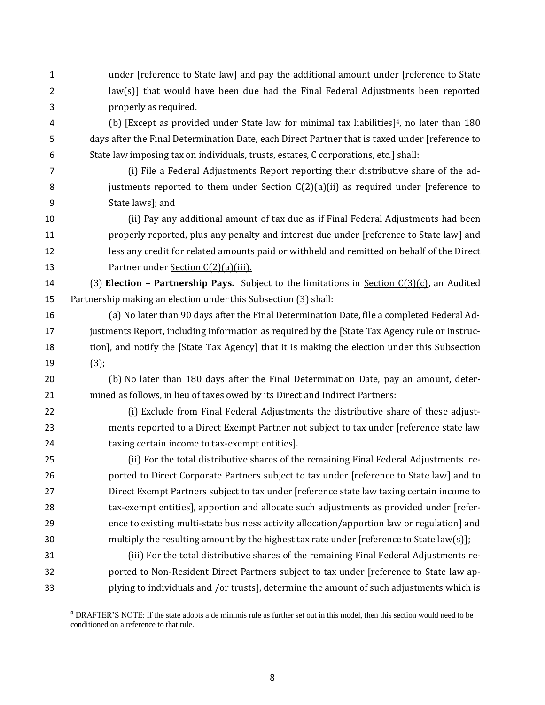under [reference to State law] and pay the additional amount under [reference to State law(s)] that would have been due had the Final Federal Adjustments been reported properly as required.

4 (b) [Except as provided under State law for minimal tax liabilities]<sup>4</sup>, no later than 180 days after the Final Determination Date, each Direct Partner that is taxed under [reference to State law imposing tax on individuals, trusts, estates, C corporations, etc.] shall:

- (i) File a Federal Adjustments Report reporting their distributive share of the ad-8 justments reported to them under **Section C(2)(a)(ii)** as required under [reference to State laws]; and
- (ii) Pay any additional amount of tax due as if Final Federal Adjustments had been properly reported, plus any penalty and interest due under [reference to State law] and less any credit for related amounts paid or withheld and remitted on behalf of the Direct 13 Partner under Section C(2)(a)(iii).

 (3) **Election – Partnership Pays.** Subject to the limitations in Section C(3)(c), an Audited Partnership making an election under this Subsection (3) shall:

- (a) No later than 90 days after the Final Determination Date, file a completed Federal Ad-17 justments Report, including information as required by the [State Tax Agency rule or instruc- tion], and notify the [State Tax Agency] that it is making the election under this Subsection (3);
- (b) No later than 180 days after the Final Determination Date, pay an amount, deter-mined as follows, in lieu of taxes owed by its Direct and Indirect Partners:
- (i) Exclude from Final Federal Adjustments the distributive share of these adjust- ments reported to a Direct Exempt Partner not subject to tax under [reference state law taxing certain income to tax-exempt entities].

 (ii) For the total distributive shares of the remaining Final Federal Adjustments re- ported to Direct Corporate Partners subject to tax under [reference to State law] and to Direct Exempt Partners subject to tax under [reference state law taxing certain income to tax-exempt entities], apportion and allocate such adjustments as provided under [refer- ence to existing multi-state business activity allocation/apportion law or regulation] and multiply the resulting amount by the highest tax rate under [reference to State law(s)];

 (iii) For the total distributive shares of the remaining Final Federal Adjustments re- ported to Non-Resident Direct Partners subject to tax under [reference to State law ap-plying to individuals and /or trusts], determine the amount of such adjustments which is

 $\overline{a}$ 

 DRAFTER'S NOTE: If the state adopts a de minimis rule as further set out in this model, then this section would need to be conditioned on a reference to that rule.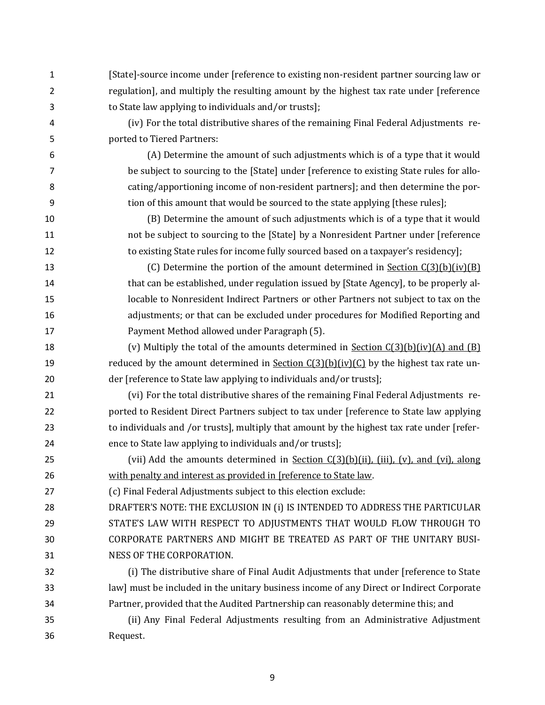| $\mathbf{1}$   | [State]-source income under [reference to existing non-resident partner sourcing law or    |
|----------------|--------------------------------------------------------------------------------------------|
| $\overline{2}$ | regulation], and multiply the resulting amount by the highest tax rate under [reference    |
| 3              | to State law applying to individuals and/or trusts];                                       |
| $\overline{a}$ | (iv) For the total distributive shares of the remaining Final Federal Adjustments re-      |
| 5              | ported to Tiered Partners:                                                                 |
| 6              | (A) Determine the amount of such adjustments which is of a type that it would              |
| 7              | be subject to sourcing to the [State] under [reference to existing State rules for allo-   |
| 8              | cating/apportioning income of non-resident partners]; and then determine the por-          |
| 9              | tion of this amount that would be sourced to the state applying [these rules];             |
| 10             | (B) Determine the amount of such adjustments which is of a type that it would              |
| 11             | not be subject to sourcing to the [State] by a Nonresident Partner under [reference        |
| 12             | to existing State rules for income fully sourced based on a taxpayer's residency];         |
| 13             | (C) Determine the portion of the amount determined in Section $C(3)(b)(iv)(B)$             |
| 14             | that can be established, under regulation issued by [State Agency], to be properly al-     |
| 15             | locable to Nonresident Indirect Partners or other Partners not subject to tax on the       |
| 16             | adjustments; or that can be excluded under procedures for Modified Reporting and           |
| 17             | Payment Method allowed under Paragraph (5).                                                |
| 18             | (v) Multiply the total of the amounts determined in Section $C(3)(b)(iv)(A)$ and $(B)$     |
| 19             | reduced by the amount determined in Section C(3)(b)(iv)(C) by the highest tax rate un-     |
| 20             | der [reference to State law applying to individuals and/or trusts];                        |
| 21             | (vi) For the total distributive shares of the remaining Final Federal Adjustments re-      |
| 22             | ported to Resident Direct Partners subject to tax under [reference to State law applying   |
| 23             | to individuals and /or trusts], multiply that amount by the highest tax rate under [refer- |
| 24             | ence to State law applying to individuals and/or trusts];                                  |
| 25             | (vii) Add the amounts determined in Section C(3)(b)(ii), (iii), (v), and (vi), along       |
| 26             | with penalty and interest as provided in [reference to State law.                          |
| 27             | (c) Final Federal Adjustments subject to this election exclude:                            |
| 28             | DRAFTER'S NOTE: THE EXCLUSION IN (i) IS INTENDED TO ADDRESS THE PARTICULAR                 |
| 29             | STATE'S LAW WITH RESPECT TO ADJUSTMENTS THAT WOULD FLOW THROUGH TO                         |
| 30             | CORPORATE PARTNERS AND MIGHT BE TREATED AS PART OF THE UNITARY BUSI-                       |
| 31             | NESS OF THE CORPORATION.                                                                   |
| 32             | (i) The distributive share of Final Audit Adjustments that under [reference to State       |
| 33             | law] must be included in the unitary business income of any Direct or Indirect Corporate   |
| 34             | Partner, provided that the Audited Partnership can reasonably determine this; and          |
| 35             | (ii) Any Final Federal Adjustments resulting from an Administrative Adjustment             |
| 36             | Request.                                                                                   |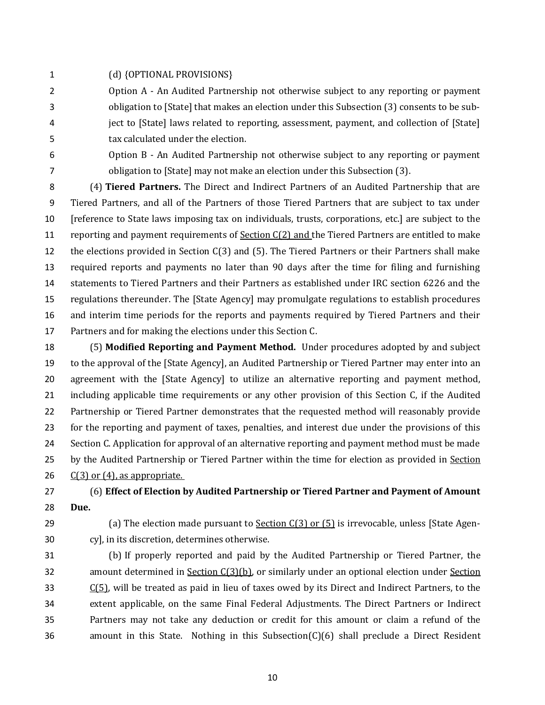(d) {OPTIONAL PROVISIONS}

- Option A An Audited Partnership not otherwise subject to any reporting or payment obligation to [State] that makes an election under this Subsection (3) consents to be sub- ject to [State] laws related to reporting, assessment, payment, and collection of [State] tax calculated under the election.
- 

 Option B - An Audited Partnership not otherwise subject to any reporting or payment obligation to [State] may not make an election under this Subsection (3).

 (4) **Tiered Partners.** The Direct and Indirect Partners of an Audited Partnership that are Tiered Partners, and all of the Partners of those Tiered Partners that are subject to tax under [reference to State laws imposing tax on individuals, trusts, corporations, etc.] are subject to the 11 reporting and payment requirements of Section C(2) and the Tiered Partners are entitled to make the elections provided in Section C(3) and (5). The Tiered Partners or their Partners shall make required reports and payments no later than 90 days after the time for filing and furnishing statements to Tiered Partners and their Partners as established under IRC section 6226 and the regulations thereunder. The [State Agency] may promulgate regulations to establish procedures and interim time periods for the reports and payments required by Tiered Partners and their Partners and for making the elections under this Section C.

 (5) **Modified Reporting and Payment Method.** Under procedures adopted by and subject to the approval of the [State Agency], an Audited Partnership or Tiered Partner may enter into an agreement with the [State Agency] to utilize an alternative reporting and payment method, including applicable time requirements or any other provision of this Section C, if the Audited Partnership or Tiered Partner demonstrates that the requested method will reasonably provide for the reporting and payment of taxes, penalties, and interest due under the provisions of this Section C. Application for approval of an alternative reporting and payment method must be made 25 by the Audited Partnership or Tiered Partner within the time for election as provided in Section  $C(3)$  or (4), as appropriate.

 (6) **Effect of Election by Audited Partnership or Tiered Partner and Payment of Amount Due.**

29 (a) The election made pursuant to **Section C(3) or (5)** is irrevocable, unless [State Agen-cy], in its discretion, determines otherwise.

 (b) If properly reported and paid by the Audited Partnership or Tiered Partner, the 32 amount determined in Section C(3)(b), or similarly under an optional election under Section 33 C(5), will be treated as paid in lieu of taxes owed by its Direct and Indirect Partners, to the extent applicable, on the same Final Federal Adjustments. The Direct Partners or Indirect Partners may not take any deduction or credit for this amount or claim a refund of the amount in this State. Nothing in this Subsection(C)(6) shall preclude a Direct Resident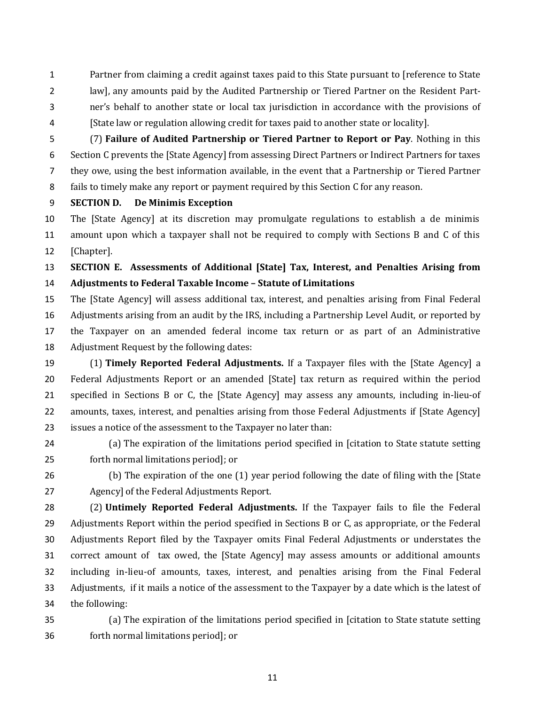Partner from claiming a credit against taxes paid to this State pursuant to [reference to State law], any amounts paid by the Audited Partnership or Tiered Partner on the Resident Part- ner's behalf to another state or local tax jurisdiction in accordance with the provisions of [State law or regulation allowing credit for taxes paid to another state or locality].

 (7) **Failure of Audited Partnership or Tiered Partner to Report or Pay**. Nothing in this Section C prevents the [State Agency] from assessing Direct Partners or Indirect Partners for taxes they owe, using the best information available, in the event that a Partnership or Tiered Partner fails to timely make any report or payment required by this Section C for any reason.

**SECTION D. De Minimis Exception**

 The [State Agency] at its discretion may promulgate regulations to establish a de minimis amount upon which a taxpayer shall not be required to comply with Sections B and C of this [Chapter].

## **SECTION E. Assessments of Additional [State] Tax, Interest, and Penalties Arising from Adjustments to Federal Taxable Income – Statute of Limitations**

 The [State Agency] will assess additional tax, interest, and penalties arising from Final Federal Adjustments arising from an audit by the IRS, including a Partnership Level Audit, or reported by the Taxpayer on an amended federal income tax return or as part of an Administrative Adjustment Request by the following dates:

 (1) **Timely Reported Federal Adjustments.** If a Taxpayer files with the [State Agency] a Federal Adjustments Report or an amended [State] tax return as required within the period specified in Sections B or C, the [State Agency] may assess any amounts, including in-lieu-of 22 amounts, taxes, interest, and penalties arising from those Federal Adjustments if [State Agency] issues a notice of the assessment to the Taxpayer no later than:

 (a) The expiration of the limitations period specified in [citation to State statute setting forth normal limitations period]; or

 (b) The expiration of the one (1) year period following the date of filing with the [State Agency] of the Federal Adjustments Report.

 (2) **Untimely Reported Federal Adjustments.** If the Taxpayer fails to file the Federal Adjustments Report within the period specified in Sections B or C, as appropriate, or the Federal Adjustments Report filed by the Taxpayer omits Final Federal Adjustments or understates the correct amount of tax owed, the [State Agency] may assess amounts or additional amounts including in-lieu-of amounts, taxes, interest, and penalties arising from the Final Federal Adjustments, if it mails a notice of the assessment to the Taxpayer by a date which is the latest of the following:

 (a) The expiration of the limitations period specified in [citation to State statute setting forth normal limitations period]; or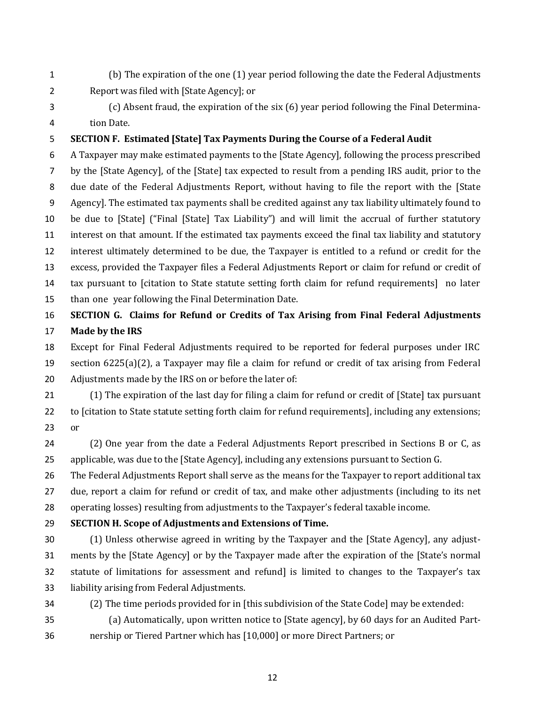- (b) The expiration of the one (1) year period following the date the Federal Adjustments Report was filed with [State Agency]; or
- (c) Absent fraud, the expiration of the six (6) year period following the Final Determina-tion Date.

#### **SECTION F. Estimated [State] Tax Payments During the Course of a Federal Audit**

 A Taxpayer may make estimated payments to the [State Agency], following the process prescribed by the [State Agency], of the [State] tax expected to result from a pending IRS audit, prior to the due date of the Federal Adjustments Report, without having to file the report with the [State Agency]. The estimated tax payments shall be credited against any tax liability ultimately found to be due to [State] ("Final [State] Tax Liability") and will limit the accrual of further statutory interest on that amount. If the estimated tax payments exceed the final tax liability and statutory interest ultimately determined to be due, the Taxpayer is entitled to a refund or credit for the excess, provided the Taxpayer files a Federal Adjustments Report or claim for refund or credit of tax pursuant to [citation to State statute setting forth claim for refund requirements] no later than one year following the Final Determination Date. **SECTION G. Claims for Refund or Credits of Tax Arising from Final Federal Adjustments** 

#### **Made by the IRS**

 Except for Final Federal Adjustments required to be reported for federal purposes under IRC section 6225(a)(2), a Taxpayer may file a claim for refund or credit of tax arising from Federal Adjustments made by the IRS on or before the later of:

- (1) The expiration of the last day for filing a claim for refund or credit of [State] tax pursuant 22 to [citation to State statute setting forth claim for refund requirements], including any extensions; or
- (2) One year from the date a Federal Adjustments Report prescribed in Sections B or C, as applicable, was due to the [State Agency], including any extensions pursuant to Section G.

 The Federal Adjustments Report shall serve as the means for the Taxpayer to report additional tax due, report a claim for refund or credit of tax, and make other adjustments (including to its net operating losses) resulting from adjustments to the Taxpayer's federal taxable income.

#### **SECTION H. Scope of Adjustments and Extensions of Time.**

- (1) Unless otherwise agreed in writing by the Taxpayer and the [State Agency], any adjust- ments by the [State Agency] or by the Taxpayer made after the expiration of the [State's normal statute of limitations for assessment and refund] is limited to changes to the Taxpayer's tax liability arising from Federal Adjustments.
- (2) The time periods provided for in [this subdivision of the State Code] may be extended:
- (a) Automatically, upon written notice to [State agency], by 60 days for an Audited Part-nership or Tiered Partner which has [10,000] or more Direct Partners; or